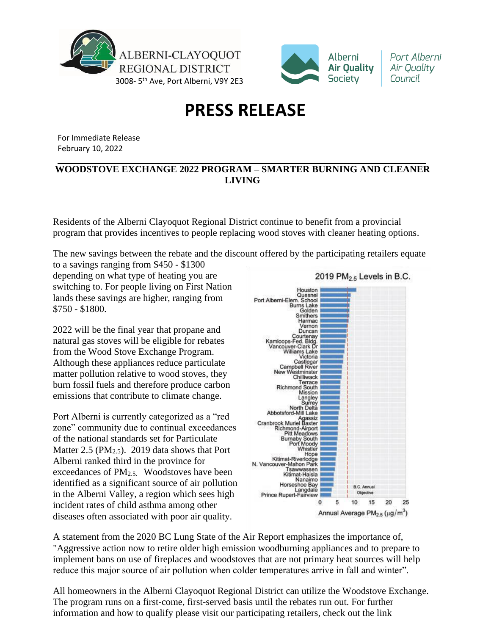



Port Alberni Air Quality Council

## **PRESS RELEASE**

For Immediate Release February 10, 2022

## **WOODSTOVE EXCHANGE 2022 PROGRAM – SMARTER BURNING AND CLEANER LIVING**

Residents of the Alberni Clayoquot Regional District continue to benefit from a provincial program that provides incentives to people replacing wood stoves with cleaner heating options.

The new savings between the rebate and the discount offered by the participating retailers equate

to a savings ranging from \$450 - \$1300 depending on what type of heating you are switching to. For people living on First Nation lands these savings are higher, ranging from \$750 - \$1800.

2022 will be the final year that propane and natural gas stoves will be eligible for rebates from the Wood Stove Exchange Program. Although these appliances reduce particulate matter pollution relative to wood stoves, they burn fossil fuels and therefore produce carbon emissions that contribute to climate change.

Port Alberni is currently categorized as a "red zone" community due to continual exceedances of the national standards set for Particulate Matter 2.5 (PM<sub>2.5</sub>). 2019 data shows that Port Alberni ranked third in the province for exceedances of PM<sub>2.5.</sub> Woodstoves have been identified as a significant source of air pollution in the Alberni Valley, a region which sees high incident rates of child asthma among other diseases often associated with poor air quality.



A statement from the 2020 BC Lung State of the Air Report emphasizes the importance of, "Aggressive action now to retire older high emission woodburning appliances and to prepare to implement bans on use of fireplaces and woodstoves that are not primary heat sources will help reduce this major source of air pollution when colder temperatures arrive in fall and winter".

All homeowners in the Alberni Clayoquot Regional District can utilize the Woodstove Exchange. The program runs on a first-come, first-served basis until the rebates run out. For further information and how to qualify please visit our participating retailers, check out the link